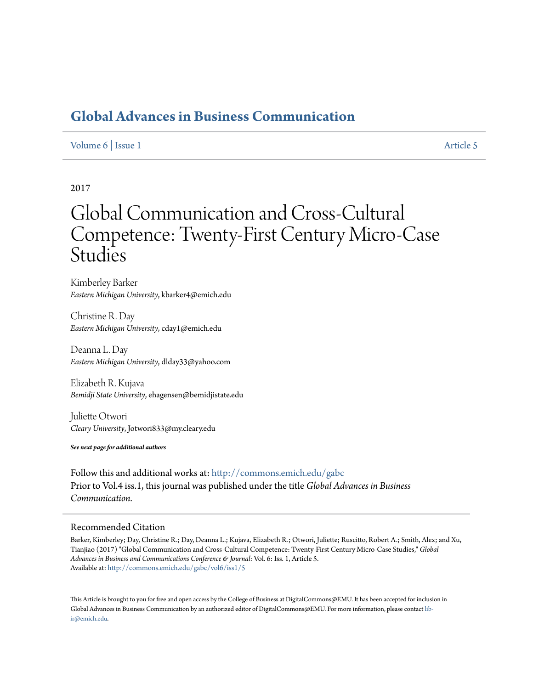# **[Global Advances in Business Communication](http://commons.emich.edu/gabc?utm_source=commons.emich.edu%2Fgabc%2Fvol6%2Fiss1%2F5&utm_medium=PDF&utm_campaign=PDFCoverPages)**

## [Volume 6](http://commons.emich.edu/gabc/vol6?utm_source=commons.emich.edu%2Fgabc%2Fvol6%2Fiss1%2F5&utm_medium=PDF&utm_campaign=PDFCoverPages) | [Issue 1](http://commons.emich.edu/gabc/vol6/iss1?utm_source=commons.emich.edu%2Fgabc%2Fvol6%2Fiss1%2F5&utm_medium=PDF&utm_campaign=PDFCoverPages) [Article 5](http://commons.emich.edu/gabc/vol6/iss1/5?utm_source=commons.emich.edu%2Fgabc%2Fvol6%2Fiss1%2F5&utm_medium=PDF&utm_campaign=PDFCoverPages)

# 2017

# Global Communication and Cross-Cultural Competence: Twenty-First Century Micro-Case **Studies**

Kimberley Barker *Eastern Michigan University*, kbarker4@emich.edu

Christine R. Day *Eastern Michigan University*, cday1@emich.edu

Deanna L. Day *Eastern Michigan University*, dlday33@yahoo.com

Elizabeth R. Kujava *Bemidji State University*, ehagensen@bemidjistate.edu

Juliette Otwori *Cleary University*, Jotwori833@my.cleary.edu

*See next page for additional authors*

Follow this and additional works at: [http://commons.emich.edu/gabc](http://commons.emich.edu/gabc?utm_source=commons.emich.edu%2Fgabc%2Fvol6%2Fiss1%2F5&utm_medium=PDF&utm_campaign=PDFCoverPages) Prior to Vol.4 iss.1, this journal was published under the title *Global Advances in Business Communication.*

#### Recommended Citation

Barker, Kimberley; Day, Christine R.; Day, Deanna L.; Kujava, Elizabeth R.; Otwori, Juliette; Ruscitto, Robert A.; Smith, Alex; and Xu, Tianjiao (2017) "Global Communication and Cross-Cultural Competence: Twenty-First Century Micro-Case Studies," *Global Advances in Business and Communications Conference & Journal*: Vol. 6: Iss. 1, Article 5. Available at: [http://commons.emich.edu/gabc/vol6/iss1/5](http://commons.emich.edu/gabc/vol6/iss1/5?utm_source=commons.emich.edu%2Fgabc%2Fvol6%2Fiss1%2F5&utm_medium=PDF&utm_campaign=PDFCoverPages)

This Article is brought to you for free and open access by the College of Business at DigitalCommons@EMU. It has been accepted for inclusion in Global Advances in Business Communication by an authorized editor of DigitalCommons@EMU. For more information, please contact [lib](mailto:lib-ir@emich.edu)[ir@emich.edu](mailto:lib-ir@emich.edu).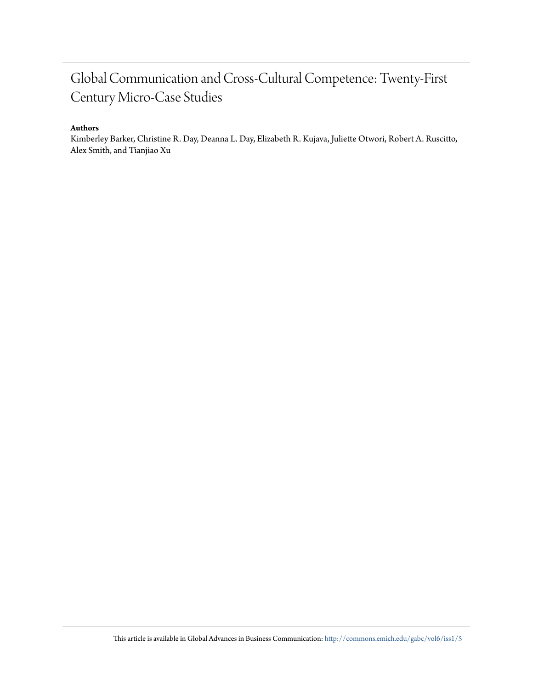# Global Communication and Cross-Cultural Competence: Twenty-First Century Micro-Case Studies

## **Authors**

Kimberley Barker, Christine R. Day, Deanna L. Day, Elizabeth R. Kujava, Juliette Otwori, Robert A. Ruscitto, Alex Smith, and Tianjiao Xu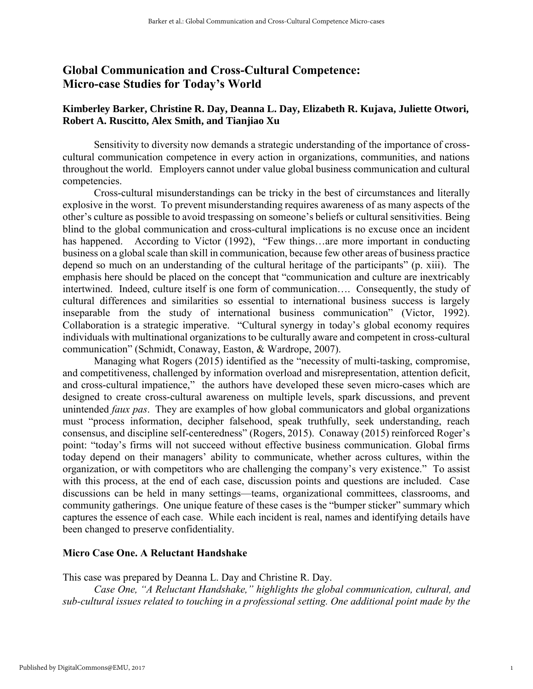# Global Communication and Cross-Cultural Competence: Micro-case Studies for Today's World

# **[Kimberley Barker,](javascript:popUp() [Christine R. Day,](javascript:popUp() [Deanna L. Day,](javascript:popUp() [Elizabeth R. Kujava,](javascript:popUp() [Juliette Otwori,](javascript:popUp() [Robert A. Ruscitto,](javascript:popUp() [Alex Smith,](javascript:popUp() and [Tianjiao Xu](javascript:popUp()**

**Sensitivity to diversity now demands a strategic understanding of the importance of crosscultural communication competence in every action in organizations, communities, and nations throughout the world. Employers cannot under value global business communication and cultural competencies.** 

**Cross-cultural misunderstandings can be tricky in the best of circumstances and literally explosive in the worst. To prevent misunderstanding requires awareness of as many aspects of the other's culture as possible to avoid trespassing on someone's beliefs or cultural sensitivities. Being blind to the global communication and cross-cultural implications is no excuse once an incident**  has happened. According to Victor (1992), "Few things...are more important in conducting **business on a global scale than skill in communication, because few other areas of business practice depend so much on an understanding of the cultural heritage of the participants" (p. xiii). The emphasis here should be placed on the concept that "communication and culture are inextricably intertwined. Indeed, culture itself is one form of communication…. Consequently, the study of cultural differences and similarities so essential to international business success is largely inseparable from the study of international business communication" (Victor, 1992). Collaboration is a strategic imperative. "Cultural synergy in today's global economy requires individuals with multinational organizations to be culturally aware and competent in cross-cultural communication" (Schmidt, Conaway, Easton, & Wardrope, 2007).** 

**Managing what Rogers (2015) identified as the "necessity of multi-tasking, compromise, and competitiveness, challenged by information overload and misrepresentation, attention deficit, and cross-cultural impatience," the authors have developed these seven micro-cases which are designed to create cross-cultural awareness on multiple levels, spark discussions, and prevent unintended** *faux pas***. They are examples of how global communicators and global organizations must "process information, decipher falsehood, speak truthfully, seek understanding, reach consensus, and discipline self-centeredness" (Rogers, 2015). Conaway (2015) reinforced Roger's point: "today's firms will not succeed without effective business communication. Global firms today depend on their managers' ability to communicate, whether across cultures, within the organization, or with competitors who are challenging the company's very existence." To assist with this process, at the end of each case, discussion points and questions are included. Case discussions can be held in many settings—teams, organizational committees, classrooms, and community gatherings. One unique feature of these cases is the "bumper sticker" summary which captures the essence of each case. While each incident is real, names and identifying details have been changed to preserve confidentiality.** 

## Micro Case One. A Reluctant Handshake

**This case was prepared by Deanna L. Day and Christine R. Day.**

*Case One, "A Reluctant Handshake," highlights the global communication, cultural, and sub-cultural issues related to touching in a professional setting. One additional point made by the*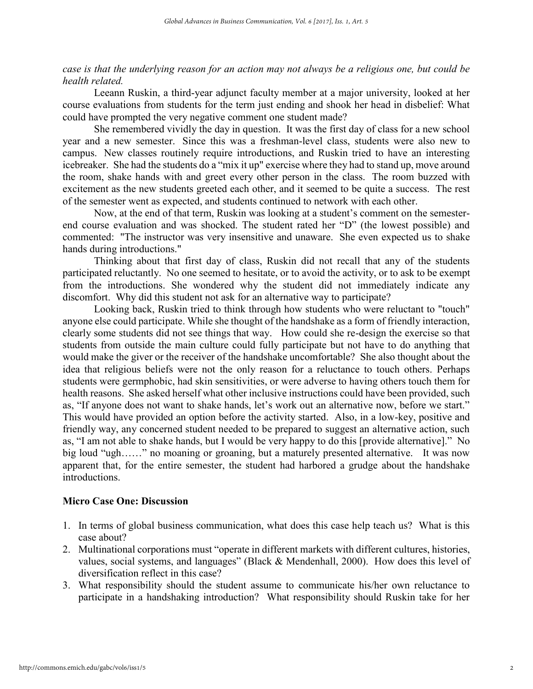# *case is that the underlying reason for an action may not always be a religious one, but could be health related.*

**Leeann Ruskin, a third-year adjunct faculty member at a major university, looked at her course evaluations from students for the term just ending and shook her head in disbelief: What could have prompted the very negative comment one student made?**

**She remembered vividly the day in question. It was the first day of class for a new school year and a new semester. Since this was a freshman-level class, students were also new to campus. New classes routinely require introductions, and Ruskin tried to have an interesting icebreaker. She had the students do a "mix it up" exercise where they had to stand up, move around the room, shake hands with and greet every other person in the class. The room buzzed with excitement as the new students greeted each other, and it seemed to be quite a success. The rest of the semester went as expected, and students continued to network with each other.**

**Now, at the end of that term, Ruskin was looking at a student's comment on the semesterend course evaluation and was shocked. The student rated her "D" (the lowest possible) and commented: "The instructor was very insensitive and unaware. She even expected us to shake hands during introductions."** 

**Thinking about that first day of class, Ruskin did not recall that any of the students participated reluctantly. No one seemed to hesitate, or to avoid the activity, or to ask to be exempt from the introductions. She wondered why the student did not immediately indicate any discomfort. Why did this student not ask for an alternative way to participate?** 

**Looking back, Ruskin tried to think through how students who were reluctant to "touch" anyone else could participate. While she thought of the handshake as a form of friendly interaction, clearly some students did not see things that way. How could she re-design the exercise so that students from outside the main culture could fully participate but not have to do anything that would make the giver or the receiver of the handshake uncomfortable? She also thought about the idea that religious beliefs were not the only reason for a reluctance to touch others. Perhaps students were germphobic, had skin sensitivities, or were adverse to having others touch them for health reasons. She asked herself what other inclusive instructions could have been provided, such as, "If anyone does not want to shake hands, let's work out an alternative now, before we start." This would have provided an option before the activity started. Also, in a low-key, positive and friendly way, any concerned student needed to be prepared to suggest an alternative action, such as, "I am not able to shake hands, but I would be very happy to do this [provide alternative]." No big loud "ugh……" no moaning or groaning, but a maturely presented alternative. It was now apparent that, for the entire semester, the student had harbored a grudge about the handshake introductions.** 

#### Micro Case One: Discussion

- **1. In terms of global business communication, what does this case help teach us? What is this case about?**
- **2. Multinational corporations must "operate in different markets with different cultures, histories, values, social systems, and languages" (Black & Mendenhall, 2000). How does this level of diversification reflect in this case?**
- **3. What responsibility should the student assume to communicate his/her own reluctance to participate in a handshaking introduction? What responsibility should Ruskin take for her**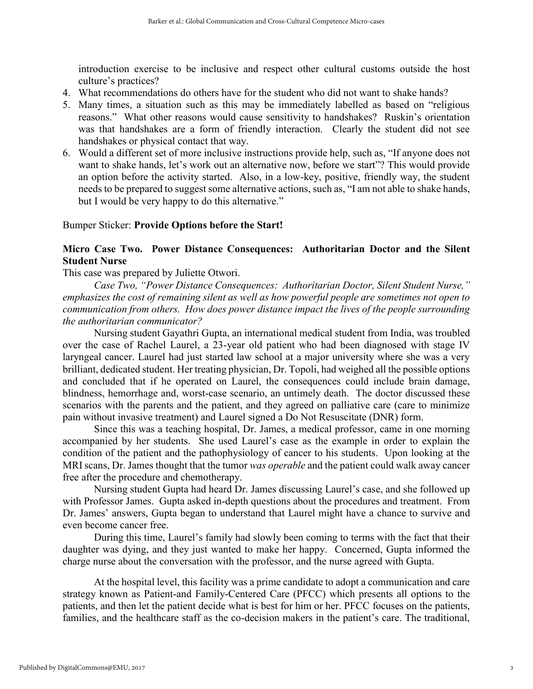**introduction exercise to be inclusive and respect other cultural customs outside the host culture's practices?**

- **4. What recommendations do others have for the student who did not want to shake hands?**
- **5. Many times, a situation such as this may be immediately labelled as based on "religious reasons." What other reasons would cause sensitivity to handshakes? Ruskin's orientation was that handshakes are a form of friendly interaction. Clearly the student did not see handshakes or physical contact that way.**
- **6. Would a different set of more inclusive instructions provide help, such as, "If anyone does not want to shake hands, let's work out an alternative now, before we start"? This would provide an option before the activity started. Also, in a low-key, positive, friendly way, the student needs to be prepared to suggest some alternative actions, such as, "I am not able to shake hands, but I would be very happy to do this alternative."**

#### **Bumper Sticker:** Provide Options before the Start!

# Micro Case Two. Power Distance Consequences: Authoritarian Doctor and the Silent Student Nurse

**This case was prepared by Juliette Otwori.**

*Case Two, "Power Distance Consequences: Authoritarian Doctor, Silent Student Nurse," emphasizes the cost of remaining silent as well as how powerful people are sometimes not open to communication from others. How does power distance impact the lives of the people surrounding the authoritarian communicator?*

**Nursing student Gayathri Gupta, an international medical student from India, was troubled over the case of Rachel Laurel, a 23-year old patient who had been diagnosed with stage IV laryngeal cancer. Laurel had just started law school at a major university where she was a very brilliant, dedicated student. Her treating physician, Dr. Topoli, had weighed all the possible options and concluded that if he operated on Laurel, the consequences could include brain damage, blindness, hemorrhage and, worst-case scenario, an untimely death. The doctor discussed these scenarios with the parents and the patient, and they agreed on palliative care (care to minimize pain without invasive treatment) and Laurel signed a Do Not Resuscitate (DNR) form.** 

**Since this was a teaching hospital, Dr. James, a medical professor, came in one morning accompanied by her students. She used Laurel's case as the example in order to explain the condition of the patient and the pathophysiology of cancer to his students. Upon looking at the MRI scans, Dr. James thought that the tumor** *was operable* **and the patient could walk away cancer free after the procedure and chemotherapy.**

**Nursing student Gupta had heard Dr. James discussing Laurel's case, and she followed up with Professor James. Gupta asked in-depth questions about the procedures and treatment. From Dr. James' answers, Gupta began to understand that Laurel might have a chance to survive and even become cancer free.** 

**During this time, Laurel's family had slowly been coming to terms with the fact that their daughter was dying, and they just wanted to make her happy. Concerned, Gupta informed the charge nurse about the conversation with the professor, and the nurse agreed with Gupta.** 

**At the hospital level, this facility was a prime candidate to adopt a communication and care strategy known as Patient-and Family-Centered Care (PFCC) which presents all options to the patients, and then let the patient decide what is best for him or her. PFCC focuses on the patients, families, and the healthcare staff as the co-decision makers in the patient's care. The traditional,**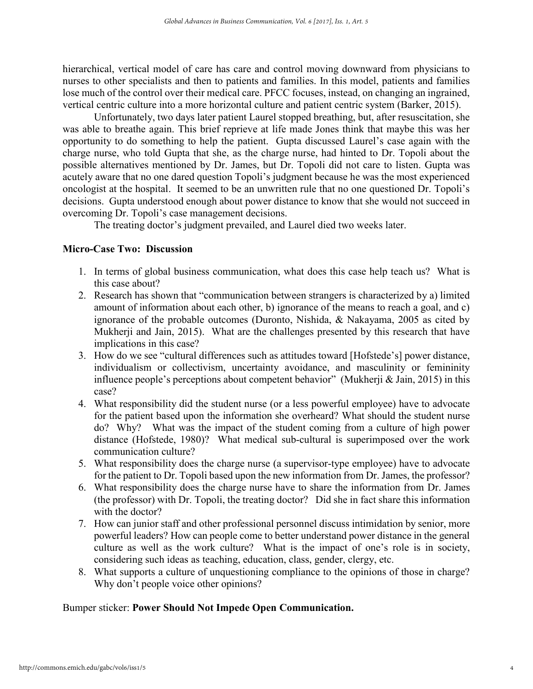**hierarchical, vertical model of care has care and control moving downward from physicians to nurses to other specialists and then to patients and families. In this model, patients and families lose much of the control over their medical care. PFCC focuses, instead, on changing an ingrained, vertical centric culture into a more horizontal culture and patient centric system (Barker, 2015).**

**Unfortunately, two days later patient Laurel stopped breathing, but, after resuscitation, she was able to breathe again. This brief reprieve at life made Jones think that maybe this was her opportunity to do something to help the patient. Gupta discussed Laurel's case again with the charge nurse, who told Gupta that she, as the charge nurse, had hinted to Dr. Topoli about the possible alternatives mentioned by Dr. James, but Dr. Topoli did not care to listen. Gupta was acutely aware that no one dared question Topoli's judgment because he was the most experienced oncologist at the hospital. It seemed to be an unwritten rule that no one questioned Dr. Topoli's decisions. Gupta understood enough about power distance to know that she would not succeed in overcoming Dr. Topoli's case management decisions.** 

**The treating doctor's judgment prevailed, and Laurel died two weeks later.** 

#### Micro-Case Two: Discussion

- **1. In terms of global business communication, what does this case help teach us? What is this case about?**
- **2. Research has shown that "communication between strangers is characterized by a) limited amount of information about each other, b) ignorance of the means to reach a goal, and c) ignorance of the probable outcomes (Duronto, Nishida, & Nakayama, 2005 as cited by Mukherji and Jain, 2015). What are the challenges presented by this research that have implications in this case?**
- **3. How do we see "cultural differences such as attitudes toward [Hofstede's] power distance, individualism or collectivism, uncertainty avoidance, and masculinity or femininity influence people's perceptions about competent behavior" (Mukherji & Jain, 2015) in this case?**
- **4. What responsibility did the student nurse (or a less powerful employee) have to advocate for the patient based upon the information she overheard? What should the student nurse do? Why? What was the impact of the student coming from a culture of high power distance (Hofstede, 1980)? What medical sub-cultural is superimposed over the work communication culture?**
- **5. What responsibility does the charge nurse (a supervisor-type employee) have to advocate for the patient to Dr. Topoli based upon the new information from Dr. James, the professor?**
- **6. What responsibility does the charge nurse have to share the information from Dr. James (the professor) with Dr. Topoli, the treating doctor? Did she in fact share this information with the doctor?**
- **7. How can junior staff and other professional personnel discuss intimidation by senior, more powerful leaders? How can people come to better understand power distance in the general culture as well as the work culture? What is the impact of one's role is in society, considering such ideas as teaching, education, class, gender, clergy, etc.**
- **8. What supports a culture of unquestioning compliance to the opinions of those in charge? Why don't people voice other opinions?**

## **Bumper sticker:** Power Should Not Impede Open Communication.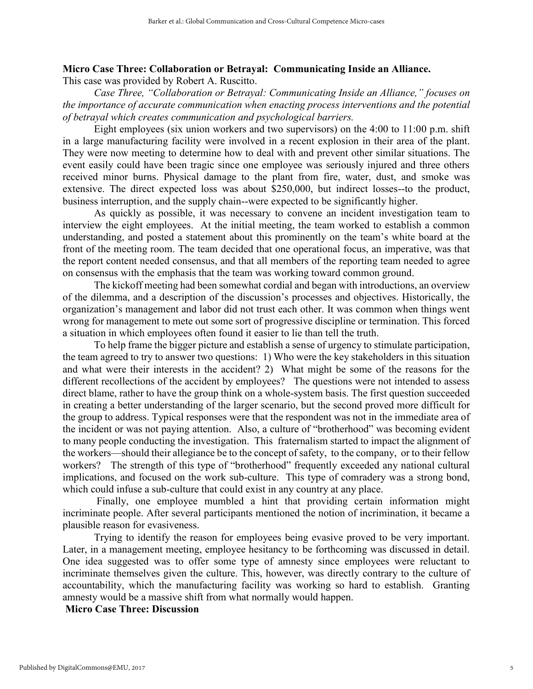# Micro Case Three: Collaboration or Betrayal: Communicating Inside an Alliance.

**This case was provided by Robert A. Ruscitto.** 

*Case Three, "Collaboration or Betrayal: Communicating Inside an Alliance," focuses on the importance of accurate communication when enacting process interventions and the potential of betrayal which creates communication and psychological barriers.* 

**Eight employees (six union workers and two supervisors) on the 4:00 to 11:00 p.m. shift in a large manufacturing facility were involved in a recent explosion in their area of the plant. They were now meeting to determine how to deal with and prevent other similar situations. The event easily could have been tragic since one employee was seriously injured and three others received minor burns. Physical damage to the plant from fire, water, dust, and smoke was extensive. The direct expected loss was about \$250,000, but indirect losses--to the product, business interruption, and the supply chain--were expected to be significantly higher.** 

**As quickly as possible, it was necessary to convene an incident investigation team to interview the eight employees. At the initial meeting, the team worked to establish a common understanding, and posted a statement about this prominently on the team's white board at the front of the meeting room. The team decided that one operational focus, an imperative, was that the report content needed consensus, and that all members of the reporting team needed to agree on consensus with the emphasis that the team was working toward common ground.** 

**The kickoff meeting had been somewhat cordial and began with introductions, an overview of the dilemma, and a description of the discussion's processes and objectives. Historically, the organization's management and labor did not trust each other. It was common when things went wrong for management to mete out some sort of progressive discipline or termination. This forced a situation in which employees often found it easier to lie than tell the truth.** 

**To help frame the bigger picture and establish a sense of urgency to stimulate participation, the team agreed to try to answer two questions: 1) Who were the key stakeholders in this situation and what were their interests in the accident? 2) What might be some of the reasons for the different recollections of the accident by employees? The questions were not intended to assess direct blame, rather to have the group think on a whole-system basis. The first question succeeded in creating a better understanding of the larger scenario, but the second proved more difficult for the group to address. Typical responses were that the respondent was not in the immediate area of the incident or was not paying attention. Also, a culture of "brotherhood" was becoming evident to many people conducting the investigation. This fraternalism started to impact the alignment of the workers—should their allegiance be to the concept of safety, to the company, or to their fellow workers? The strength of this type of "brotherhood" frequently exceeded any national cultural implications, and focused on the work sub-culture. This type of comradery was a strong bond, which could infuse a sub-culture that could exist in any country at any place.** 

**Finally, one employee mumbled a hint that providing certain information might incriminate people. After several participants mentioned the notion of incrimination, it became a plausible reason for evasiveness.** 

**Trying to identify the reason for employees being evasive proved to be very important. Later, in a management meeting, employee hesitancy to be forthcoming was discussed in detail. One idea suggested was to offer some type of amnesty since employees were reluctant to incriminate themselves given the culture. This, however, was directly contrary to the culture of accountability, which the manufacturing facility was working so hard to establish. Granting amnesty would be a massive shift from what normally would happen.** 

Micro Case Three: Discussion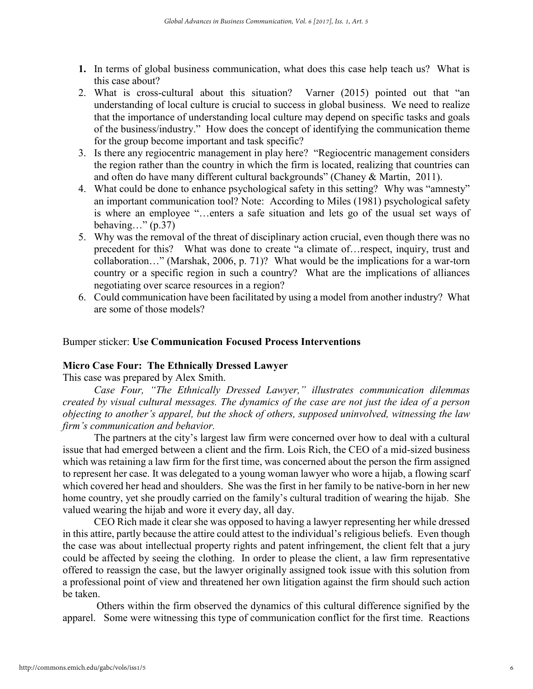- 1. **In terms of global business communication, what does this case help teach us? What is this case about?**
- **2. What is cross-cultural about this situation? Varner (2015) pointed out that "an understanding of local culture is crucial to success in global business. We need to realize that the importance of understanding local culture may depend on specific tasks and goals of the business/industry." How does the concept of identifying the communication theme for the group become important and task specific?**
- **3. Is there any regiocentric management in play here? "Regiocentric management considers the region rather than the country in which the firm is located, realizing that countries can and often do have many different cultural backgrounds" (Chaney & Martin, 2011).**
- **4. What could be done to enhance psychological safety in this setting? Why was "amnesty" an important communication tool? Note: According to Miles (1981) psychological safety is where an employee "…enters a safe situation and lets go of the usual set ways of behaving…" (p.37)**
- **5. Why was the removal of the threat of disciplinary action crucial, even though there was no precedent for this? What was done to create "a climate of…respect, inquiry, trust and collaboration…" (Marshak, 2006, p. 71)? What would be the implications for a war-torn country or a specific region in such a country? What are the implications of alliances negotiating over scarce resources in a region?**
- **6. Could communication have been facilitated by using a model from another industry? What are some of those models?**

# **Bumper sticker:** Use Communication Focused Process Interventions

#### Micro Case Four: The Ethnically Dressed Lawyer

**This case was prepared by Alex Smith.** 

*Case Four, "The Ethnically Dressed Lawyer," illustrates communication dilemmas created by visual cultural messages. The dynamics of the case are not just the idea of a person objecting to another's apparel, but the shock of others, supposed uninvolved, witnessing the law firm's communication and behavior.* 

**The partners at the city's largest law firm were concerned over how to deal with a cultural issue that had emerged between a client and the firm. Lois Rich, the CEO of a mid-sized business which was retaining a law firm for the first time, was concerned about the person the firm assigned to represent her case. It was delegated to a young woman lawyer who wore a hijab, a flowing scarf which covered her head and shoulders. She was the first in her family to be native-born in her new home country, yet she proudly carried on the family's cultural tradition of wearing the hijab. She valued wearing the hijab and wore it every day, all day.** 

**CEO Rich made it clear she was opposed to having a lawyer representing her while dressed in this attire, partly because the attire could attest to the individual's religious beliefs. Even though the case was about intellectual property rights and patent infringement, the client felt that a jury could be affected by seeing the clothing. In order to please the client, a law firm representative offered to reassign the case, but the lawyer originally assigned took issue with this solution from a professional point of view and threatened her own litigation against the firm should such action be taken.** 

**Others within the firm observed the dynamics of this cultural difference signified by the apparel. Some were witnessing this type of communication conflict for the first time. Reactions**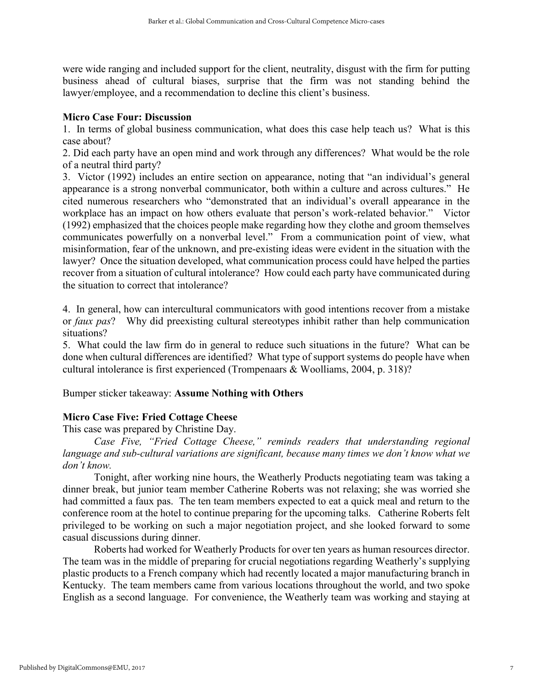**were wide ranging and included support for the client, neutrality, disgust with the firm for putting business ahead of cultural biases, surprise that the firm was not standing behind the lawyer/employee, and a recommendation to decline this client's business.** 

# Micro Case Four: Discussion

**1. In terms of global business communication, what does this case help teach us? What is this case about?** 

**2. Did each party have an open mind and work through any differences? What would be the role of a neutral third party?** 

**3. Victor (1992) includes an entire section on appearance, noting that "an individual's general appearance is a strong nonverbal communicator, both within a culture and across cultures." He cited numerous researchers who "demonstrated that an individual's overall appearance in the workplace has an impact on how others evaluate that person's work-related behavior." Victor (1992) emphasized that the choices people make regarding how they clothe and groom themselves communicates powerfully on a nonverbal level." From a communication point of view, what misinformation, fear of the unknown, and pre-existing ideas were evident in the situation with the lawyer? Once the situation developed, what communication process could have helped the parties recover from a situation of cultural intolerance? How could each party have communicated during the situation to correct that intolerance?** 

**4. In general, how can intercultural communicators with good intentions recover from a mistake or** *faux pas***? Why did preexisting cultural stereotypes inhibit rather than help communication situations?** 

**5. What could the law firm do in general to reduce such situations in the future? What can be done when cultural differences are identified? What type of support systems do people have when cultural intolerance is first experienced (Trompenaars & Woolliams, 2004, p. 318)?**

**Bumper sticker takeaway:** Assume Nothing with Others

# Micro Case Five: Fried Cottage Cheese

**This case was prepared by Christine Day.**

*Case Five, "Fried Cottage Cheese," reminds readers that understanding regional language and sub-cultural variations are significant, because many times we don't know what we don't know.* 

**Tonight, after working nine hours, the Weatherly Products negotiating team was taking a dinner break, but junior team member Catherine Roberts was not relaxing; she was worried she had committed a faux pas. The ten team members expected to eat a quick meal and return to the conference room at the hotel to continue preparing for the upcoming talks. Catherine Roberts felt privileged to be working on such a major negotiation project, and she looked forward to some casual discussions during dinner.** 

**Roberts had worked for Weatherly Products for over ten years as human resources director. The team was in the middle of preparing for crucial negotiations regarding Weatherly's supplying plastic products to a French company which had recently located a major manufacturing branch in Kentucky. The team members came from various locations throughout the world, and two spoke English as a second language. For convenience, the Weatherly team was working and staying at**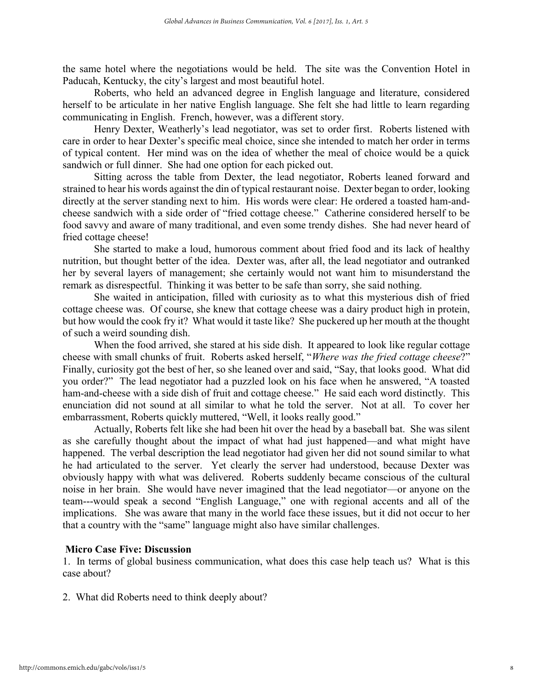**the same hotel where the negotiations would be held. The site was the Convention Hotel in Paducah, Kentucky, the city's largest and most beautiful hotel.** 

**Roberts, who held an advanced degree in English language and literature, considered herself to be articulate in her native English language. She felt she had little to learn regarding communicating in English. French, however, was a different story.** 

**Henry Dexter, Weatherly's lead negotiator, was set to order first. Roberts listened with care in order to hear Dexter's specific meal choice, since she intended to match her order in terms of typical content. Her mind was on the idea of whether the meal of choice would be a quick sandwich or full dinner. She had one option for each picked out.** 

**Sitting across the table from Dexter, the lead negotiator, Roberts leaned forward and strained to hear his words against the din of typical restaurant noise. Dexter began to order, looking directly at the server standing next to him. His words were clear: He ordered a toasted ham-andcheese sandwich with a side order of "fried cottage cheese." Catherine considered herself to be food savvy and aware of many traditional, and even some trendy dishes. She had never heard of fried cottage cheese!** 

**She started to make a loud, humorous comment about fried food and its lack of healthy nutrition, but thought better of the idea. Dexter was, after all, the lead negotiator and outranked her by several layers of management; she certainly would not want him to misunderstand the remark as disrespectful. Thinking it was better to be safe than sorry, she said nothing.**

**She waited in anticipation, filled with curiosity as to what this mysterious dish of fried cottage cheese was. Of course, she knew that cottage cheese was a dairy product high in protein, but how would the cook fry it? What would it taste like? She puckered up her mouth at the thought of such a weird sounding dish.** 

**When the food arrived, she stared at his side dish. It appeared to look like regular cottage cheese with small chunks of fruit. Roberts asked herself, "***Where was the fried cottage cheese***?" Finally, curiosity got the best of her, so she leaned over and said, "Say, that looks good. What did you order?" The lead negotiator had a puzzled look on his face when he answered, "A toasted ham-and-cheese with a side dish of fruit and cottage cheese." He said each word distinctly. This enunciation did not sound at all similar to what he told the server. Not at all. To cover her embarrassment, Roberts quickly muttered, "Well, it looks really good."** 

**Actually, Roberts felt like she had been hit over the head by a baseball bat. She was silent as she carefully thought about the impact of what had just happened—and what might have happened. The verbal description the lead negotiator had given her did not sound similar to what he had articulated to the server. Yet clearly the server had understood, because Dexter was obviously happy with what was delivered. Roberts suddenly became conscious of the cultural noise in her brain. She would have never imagined that the lead negotiator—or anyone on the team---would speak a second "English Language," one with regional accents and all of the implications. She was aware that many in the world face these issues, but it did not occur to her that a country with the "same" language might also have similar challenges.** 

## Micro Case Five: Discussion

**1. In terms of global business communication, what does this case help teach us? What is this case about?**

**2. What did Roberts need to think deeply about?**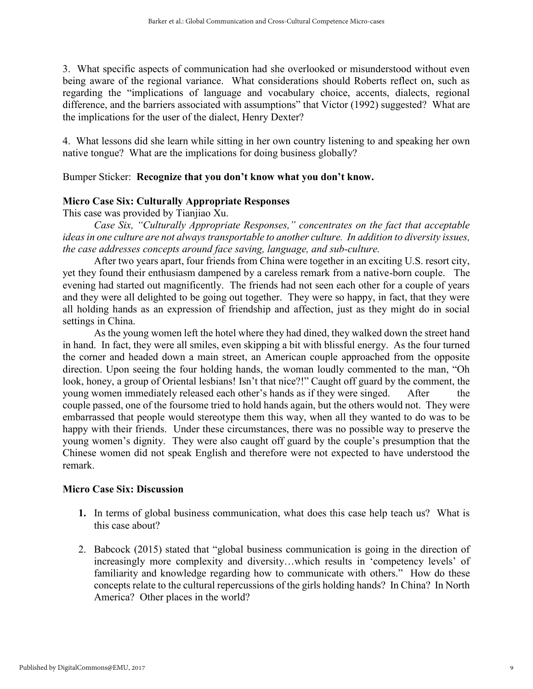**3. What specific aspects of communication had she overlooked or misunderstood without even being aware of the regional variance. What considerations should Roberts reflect on, such as regarding the "implications of language and vocabulary choice, accents, dialects, regional difference, and the barriers associated with assumptions" that Victor (1992) suggested? What are the implications for the user of the dialect, Henry Dexter?** 

**4. What lessons did she learn while sitting in her own country listening to and speaking her own native tongue? What are the implications for doing business globally?**

# **Bumper Sticker:** Recognize that you don't know what you don't know.

# Micro Case Six: Culturally Appropriate Responses

**This case was provided by Tianjiao Xu.**

*Case Six, "Culturally Appropriate Responses," concentrates on the fact that acceptable ideas in one culture are not always transportable to another culture. In addition to diversity issues, the case addresses concepts around face saving, language, and sub-culture.* 

**After two years apart, four friends from China were together in an exciting U.S. resort city, yet they found their enthusiasm dampened by a careless remark from a native-born couple. The evening had started out magnificently. The friends had not seen each other for a couple of years and they were all delighted to be going out together. They were so happy, in fact, that they were all holding hands as an expression of friendship and affection, just as they might do in social settings in China.** 

**As the young women left the hotel where they had dined, they walked down the street hand in hand. In fact, they were all smiles, even skipping a bit with blissful energy. As the four turned the corner and headed down a main street, an American couple approached from the opposite direction. Upon seeing the four holding hands, the woman loudly commented to the man, "Oh**  look, honey, a group of Oriental lesbians! Isn't that nice?!" Caught off guard by the comment, the **young women immediately released each other's hands as if they were singed. After the couple passed, one of the foursome tried to hold hands again, but the others would not. They were embarrassed that people would stereotype them this way, when all they wanted to do was to be happy with their friends. Under these circumstances, there was no possible way to preserve the young women's dignity. They were also caught off guard by the couple's presumption that the Chinese women did not speak English and therefore were not expected to have understood the remark.** 

## Micro Case Six: Discussion

- 1. **In terms of global business communication, what does this case help teach us? What is this case about?**
- **2. Babcock (2015) stated that "global business communication is going in the direction of increasingly more complexity and diversity…which results in 'competency levels' of familiarity and knowledge regarding how to communicate with others." How do these concepts relate to the cultural repercussions of the girls holding hands? In China? In North America? Other places in the world?**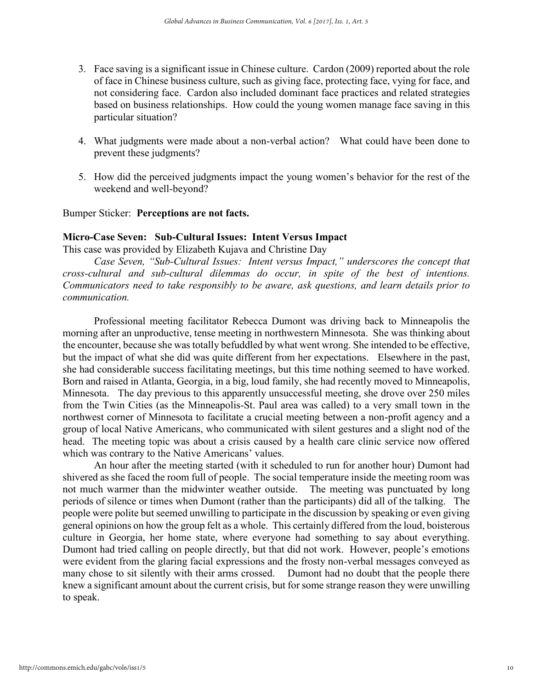- **3. Face saving is a significant issue in Chinese culture. Cardon (2009) reported about the role of face in Chinese business culture, such as giving face, protecting face, vying for face, and not considering face. Cardon also included dominant face practices and related strategies based on business relationships. How could the young women manage face saving in this particular situation?**
- **4. What judgments were made about a non-verbal action? What could have been done to prevent these judgments?**
- **5. How did the perceived judgments impact the young women's behavior for the rest of the weekend and well-beyond?**

**Bumper Sticker:** Perceptions are not facts.

## Micro-Case Seven: Sub-Cultural Issues: Intent Versus Impact

**This case was provided by Elizabeth Kujava and Christine Day**

*Case Seven, "Sub-Cultural Issues: Intent versus Impact," underscores the concept that cross-cultural and sub-cultural dilemmas do occur, in spite of the best of intentions. Communicators need to take responsibly to be aware, ask questions, and learn details prior to communication.* 

**Professional meeting facilitator Rebecca Dumont was driving back to Minneapolis the morning after an unproductive, tense meeting in northwestern Minnesota. She was thinking about the encounter, because she was totally befuddled by what went wrong. She intended to be effective, but the impact of what she did was quite different from her expectations. Elsewhere in the past, she had considerable success facilitating meetings, but this time nothing seemed to have worked. Born and raised in Atlanta, Georgia, in a big, loud family, she had recently moved to Minneapolis, Minnesota. The day previous to this apparently unsuccessful meeting, she drove over 250 miles from the Twin Cities (as the Minneapolis-St. Paul area was called) to a very small town in the northwest corner of Minnesota to facilitate a crucial meeting between a non-profit agency and a group of local Native Americans, who communicated with silent gestures and a slight nod of the head. The meeting topic was about a crisis caused by a health care clinic service now offered which was contrary to the Native Americans' values.** 

**An hour after the meeting started (with it scheduled to run for another hour) Dumont had shivered as she faced the room full of people. The social temperature inside the meeting room was not much warmer than the midwinter weather outside. The meeting was punctuated by long periods of silence or times when Dumont (rather than the participants) did all of the talking. The people were polite but seemed unwilling to participate in the discussion by speaking or even giving general opinions on how the group felt as a whole. This certainly differed from the loud, boisterous culture in Georgia, her home state, where everyone had something to say about everything. Dumont had tried calling on people directly, but that did not work. However, people's emotions were evident from the glaring facial expressions and the frosty non-verbal messages conveyed as many chose to sit silently with their arms crossed. Dumont had no doubt that the people there knew a significant amount about the current crisis, but for some strange reason they were unwilling to speak.**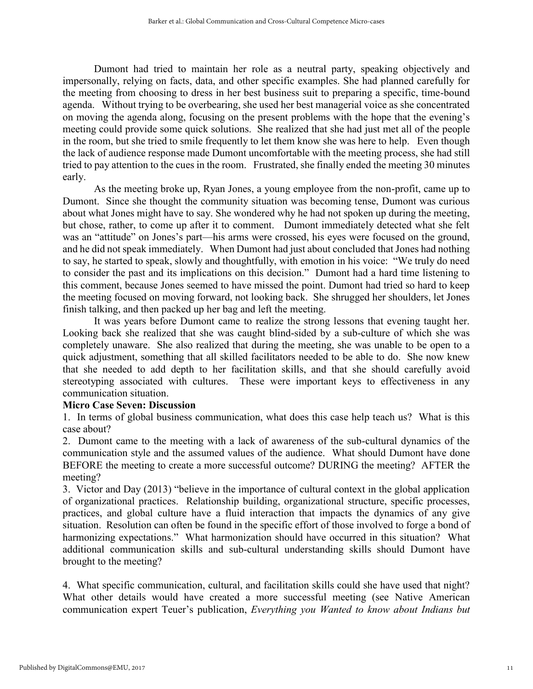**Dumont had tried to maintain her role as a neutral party, speaking objectively and impersonally, relying on facts, data, and other specific examples. She had planned carefully for the meeting from choosing to dress in her best business suit to preparing a specific, time-bound agenda. Without trying to be overbearing, she used her best managerial voice as she concentrated on moving the agenda along, focusing on the present problems with the hope that the evening's meeting could provide some quick solutions. She realized that she had just met all of the people in the room, but she tried to smile frequently to let them know she was here to help. Even though the lack of audience response made Dumont uncomfortable with the meeting process, she had still tried to pay attention to the cues in the room. Frustrated, she finally ended the meeting 30 minutes early.** 

**As the meeting broke up, Ryan Jones, a young employee from the non-profit, came up to Dumont. Since she thought the community situation was becoming tense, Dumont was curious about what Jones might have to say. She wondered why he had not spoken up during the meeting, but chose, rather, to come up after it to comment. Dumont immediately detected what she felt was an "attitude" on Jones's part—his arms were crossed, his eyes were focused on the ground, and he did not speak immediately. When Dumont had just about concluded that Jones had nothing to say, he started to speak, slowly and thoughtfully, with emotion in his voice: "We truly do need to consider the past and its implications on this decision." Dumont had a hard time listening to this comment, because Jones seemed to have missed the point. Dumont had tried so hard to keep the meeting focused on moving forward, not looking back. She shrugged her shoulders, let Jones finish talking, and then packed up her bag and left the meeting.** 

**It was years before Dumont came to realize the strong lessons that evening taught her. Looking back she realized that she was caught blind-sided by a sub-culture of which she was completely unaware. She also realized that during the meeting, she was unable to be open to a quick adjustment, something that all skilled facilitators needed to be able to do. She now knew that she needed to add depth to her facilitation skills, and that she should carefully avoid stereotyping associated with cultures. These were important keys to effectiveness in any communication situation.** 

## Micro Case Seven: Discussion

**1. In terms of global business communication, what does this case help teach us? What is this case about?** 

**2. Dumont came to the meeting with a lack of awareness of the sub-cultural dynamics of the communication style and the assumed values of the audience. What should Dumont have done BEFORE the meeting to create a more successful outcome? DURING the meeting? AFTER the meeting?** 

**3. Victor and Day (2013) "believe in the importance of cultural context in the global application of organizational practices. Relationship building, organizational structure, specific processes, practices, and global culture have a fluid interaction that impacts the dynamics of any give situation. Resolution can often be found in the specific effort of those involved to forge a bond of harmonizing expectations." What harmonization should have occurred in this situation? What additional communication skills and sub-cultural understanding skills should Dumont have brought to the meeting?** 

**4. What specific communication, cultural, and facilitation skills could she have used that night? What other details would have created a more successful meeting (see Native American communication expert Teuer's publication,** *Everything you Wanted to know about Indians but*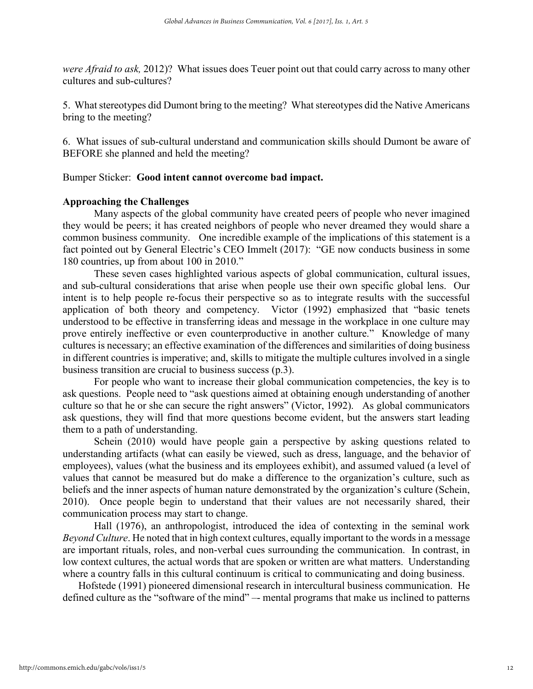*were Afraid to ask,* **2012)? What issues does Teuer point out that could carry across to many other cultures and sub-cultures?**

**5. What stereotypes did Dumont bring to the meeting? What stereotypes did the Native Americans bring to the meeting?**

**6. What issues of sub-cultural understand and communication skills should Dumont be aware of BEFORE she planned and held the meeting?** 

**Bumper Sticker:** Good intent cannot overcome bad impact.

## Approaching the Challenges

**Many aspects of the global community have created peers of people who never imagined they would be peers; it has created neighbors of people who never dreamed they would share a common business community. One incredible example of the implications of this statement is a fact pointed out by General Electric's CEO Immelt (2017): "GE now conducts business in some 180 countries, up from about 100 in 2010."** 

**These seven cases highlighted various aspects of global communication, cultural issues, and sub-cultural considerations that arise when people use their own specific global lens. Our intent is to help people re-focus their perspective so as to integrate results with the successful application of both theory and competency. Victor (1992) emphasized that "basic tenets understood to be effective in transferring ideas and message in the workplace in one culture may prove entirely ineffective or even counterproductive in another culture." Knowledge of many cultures is necessary; an effective examination of the differences and similarities of doing business in different countries is imperative; and, skills to mitigate the multiple cultures involved in a single business transition are crucial to business success (p.3).** 

**For people who want to increase their global communication competencies, the key is to ask questions. People need to "ask questions aimed at obtaining enough understanding of another culture so that he or she can secure the right answers" (Victor, 1992). As global communicators ask questions, they will find that more questions become evident, but the answers start leading them to a path of understanding.** 

**Schein (2010) would have people gain a perspective by asking questions related to understanding artifacts (what can easily be viewed, such as dress, language, and the behavior of employees), values (what the business and its employees exhibit), and assumed valued (a level of values that cannot be measured but do make a difference to the organization's culture, such as beliefs and the inner aspects of human nature demonstrated by the organization's culture (Schein, 2010). Once people begin to understand that their values are not necessarily shared, their communication process may start to change.** 

**Hall (1976), an anthropologist, introduced the idea of contexting in the seminal work**  *Beyond Culture*. He noted that in high context cultures, equally important to the words in a message **are important rituals, roles, and non-verbal cues surrounding the communication. In contrast, in low context cultures, the actual words that are spoken or written are what matters. Understanding where a country falls in this cultural continuum is critical to communicating and doing business.** 

**Hofstede (1991) pioneered dimensional research in intercultural business communication. He defined culture as the "software of the mind" –- mental programs that make us inclined to patterns**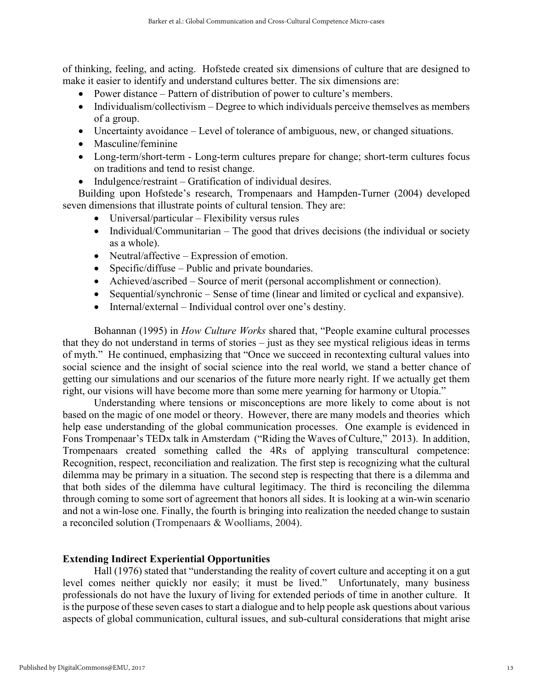**of thinking, feeling, and acting. Hofstede created six dimensions of culture that are designed to make it easier to identify and understand cultures better. The six dimensions are:**

- Power distance Pattern of distribution of power to culture's members.
- Individualism/collectivism Degree to which individuals perceive themselves as members **of a group.**
- **Uncertainty avoidance – Level of tolerance of ambiguous, new, or changed situations.**
- **Masculine/feminine**
- **Long-term/short-term - Long-term cultures prepare for change; short-term cultures focus on traditions and tend to resist change.**
- Indulgence/restraint Gratification of individual desires.

**Building upon Hofstede's research, Trompenaars and Hampden-Turner (2004) developed seven dimensions that illustrate points of cultural tension. They are:** 

- **Universal/particular – Flexibility versus rules**
- Individual/Communitarian The good that drives decisions (the individual or society **as a whole).**
- **Neutral/affective – Expression of emotion.**
- **Specific/diffuse – Public and private boundaries.**
- **Achieved/ascribed – Source of merit (personal accomplishment or connection).**
- Sequential/synchronic Sense of time (linear and limited or cyclical and expansive).
- Internal/external Individual control over one's destiny.

**Bohannan (1995) in** *How Culture Works* **shared that, "People examine cultural processes that they do not understand in terms of stories – just as they see mystical religious ideas in terms of myth." He continued, emphasizing that "Once we succeed in recontexting cultural values into social science and the insight of social science into the real world, we stand a better chance of getting our simulations and our scenarios of the future more nearly right. If we actually get them right, our visions will have become more than some mere yearning for harmony or Utopia."**

**Understanding where tensions or misconceptions are more likely to come about is not based on the magic of one model or theory. However, there are many models and theories which help ease understanding of the global communication processes. One example is evidenced in Fons Trompenaar's TEDx talk in Amsterdam ("Riding the Waves of Culture," 2013). In addition, Trompenaars created something called the 4Rs of applying transcultural competence: Recognition, respect, reconciliation and realization. The first step is recognizing what the cultural dilemma may be primary in a situation. The second step is respecting that there is a dilemma and that both sides of the dilemma have cultural legitimacy. The third is reconciling the dilemma through coming to some sort of agreement that honors all sides. It is looking at a win-win scenario and not a win-lose one. Finally, the fourth is bringing into realization the needed change to sustain a reconciled solution (Trompenaars & Woolliams, 2004).**

# Extending Indirect Experiential Opportunities

**Hall (1976) stated that "understanding the reality of covert culture and accepting it on a gut level comes neither quickly nor easily; it must be lived." Unfortunately, many business professionals do not have the luxury of living for extended periods of time in another culture. It is the purpose of these seven casesto start a dialogue and to help people ask questions about various aspects of global communication, cultural issues, and sub-cultural considerations that might arise**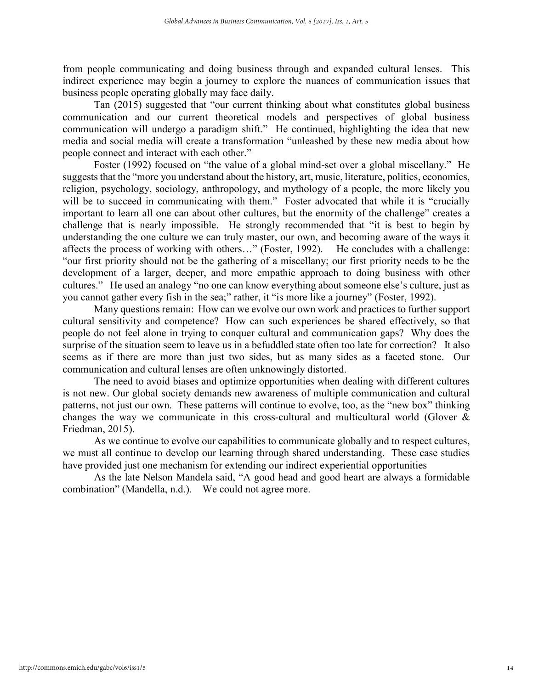**from people communicating and doing business through and expanded cultural lenses. This indirect experience may begin a journey to explore the nuances of communication issues that business people operating globally may face daily.** 

**Tan (2015) suggested that "our current thinking about what constitutes global business communication and our current theoretical models and perspectives of global business communication will undergo a paradigm shift." He continued, highlighting the idea that new media and social media will create a transformation "unleashed by these new media about how people connect and interact with each other."** 

**Foster (1992) focused on "the value of a global mind-set over a global miscellany." He suggests that the "more you understand about the history, art, music, literature, politics, economics, religion, psychology, sociology, anthropology, and mythology of a people, the more likely you**  will be to succeed in communicating with them." Foster advocated that while it is "crucially **important to learn all one can about other cultures, but the enormity of the challenge" creates a challenge that is nearly impossible. He strongly recommended that "it is best to begin by understanding the one culture we can truly master, our own, and becoming aware of the ways it affects the process of working with others…" (Foster, 1992). He concludes with a challenge: "our first priority should not be the gathering of a miscellany; our first priority needs to be the development of a larger, deeper, and more empathic approach to doing business with other cultures." He used an analogy "no one can know everything about someone else's culture, just as you cannot gather every fish in the sea;" rather, it "is more like a journey" (Foster, 1992).** 

**Many questions remain: How can we evolve our own work and practices to further support cultural sensitivity and competence? How can such experiences be shared effectively, so that people do not feel alone in trying to conquer cultural and communication gaps? Why does the surprise of the situation seem to leave us in a befuddled state often too late for correction? It also seems as if there are more than just two sides, but as many sides as a faceted stone. Our communication and cultural lenses are often unknowingly distorted.** 

**The need to avoid biases and optimize opportunities when dealing with different cultures is not new. Our global society demands new awareness of multiple communication and cultural patterns, not just our own. These patterns will continue to evolve, too, as the "new box" thinking changes the way we communicate in this cross-cultural and multicultural world (Glover & Friedman, 2015).** 

**As we continue to evolve our capabilities to communicate globally and to respect cultures, we must all continue to develop our learning through shared understanding. These case studies have provided just one mechanism for extending our indirect experiential opportunities**

**As the late Nelson Mandela said, "A good head and good heart are always a formidable combination" (Mandella, n.d.). We could not agree more.**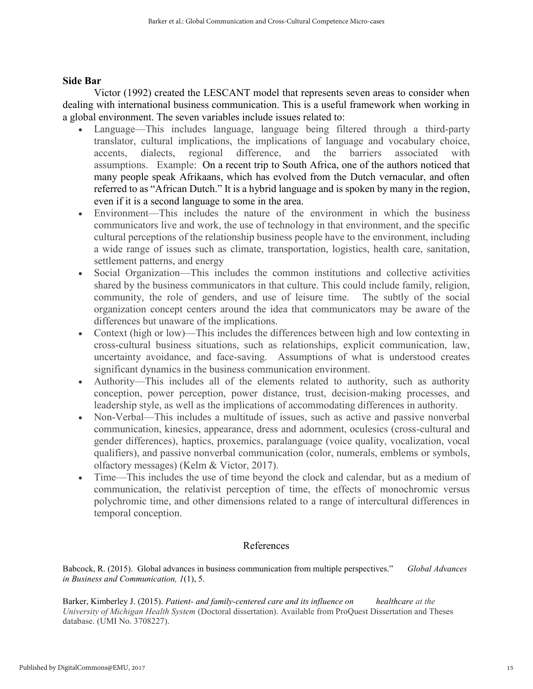## Side Bar

**Victor (1992) created the LESCANT model that represents seven areas to consider when dealing with international business communication. This is a useful framework when working in a global environment. The seven variables include issues related to:** 

- **Language—This includes language, language being filtered through a third-party translator, cultural implications, the implications of language and vocabulary choice, accents, dialects, regional difference, and the barriers associated with assumptions. Example: On a recent trip to South Africa, one of the authors noticed that many people speak Afrikaans, which has evolved from the Dutch vernacular, and often referred to as "African Dutch." It is a hybrid language and is spoken by many in the region, even if it is a second language to some in the area.**
- **Environment—This includes the nature of the environment in which the business communicators live and work, the use of technology in that environment, and the specific cultural perceptions of the relationship business people have to the environment, including a wide range of issues such as climate, transportation, logistics, health care, sanitation, settlement patterns, and energy**
- **Social Organization—This includes the common institutions and collective activities shared by the business communicators in that culture. This could include family, religion, community, the role of genders, and use of leisure time. The subtly of the social organization concept centers around the idea that communicators may be aware of the differences but unaware of the implications.**
- **Context (high or low)—This includes the differences between high and low contexting in cross-cultural business situations, such as relationships, explicit communication, law, uncertainty avoidance, and face-saving. Assumptions of what is understood creates significant dynamics in the business communication environment.**
- Authority—This includes all of the elements related to authority, such as authority **conception, power perception, power distance, trust, decision-making processes, and leadership style, as well as the implications of accommodating differences in authority.**
- Non-Verbal—This includes a multitude of issues, such as active and passive nonverbal **communication, kinesics, appearance, dress and adornment, oculesics (cross-cultural and gender differences), haptics, proxemics, paralanguage (voice quality, vocalization, vocal qualifiers), and passive nonverbal communication (color, numerals, emblems or symbols, olfactory messages) (Kelm & Victor, 2017).**
- **Time—This includes the use of time beyond the clock and calendar, but as a medium of communication, the relativist perception of time, the effects of monochromic versus polychromic time, and other dimensions related to a range of intercultural differences in temporal conception.**

# **References**

**Babcock, R. (2015). Global advances in business communication from multiple perspectives."** *Global Advances in Business and Communication, 1***(1), 5.** 

**Barker, Kimberley J. (2015).** *Patient- and family-centered care and its influence on healthcare at the University of Michigan Health System* **(Doctoral dissertation). Available from ProQuest Dissertation and Theses database. (UMI No. 3708227).**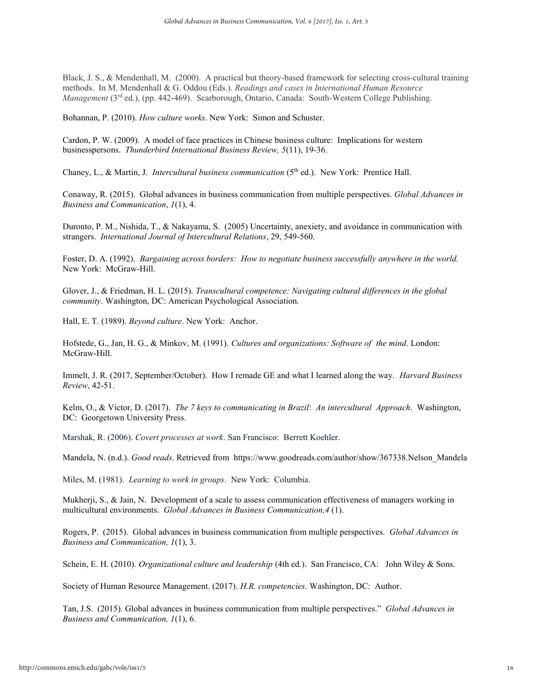**Black, J. S., & Mendenhall, M. (2000). A practical but theory-based framework for selecting cross-cultural training methods. In M. Mendenhall & G. Oddou (Eds.).** *Readings and cases in International Human Resource Management* (3<sup>rd</sup> ed.), (pp. 442-469). Scarborough, Ontario, Canada: South-Western College Publishing.

**Bohannan, P. (2010).** *How culture works***. New York: Simon and Schuster.** 

**Cardon, P. W. (2009). A model of face practices in Chinese business culture: Implications for western businesspersons.** *Thunderbird International Business Review, 5***(11), 19-36.** 

**Chaney, L., & Martin, J.** *Intercultural business communication* **(5th ed.). New York: Prentice Hall.** 

**Conaway, R. (2015). Global advances in business communication from multiple perspectives.** *Global Advances in Business and Communication***,** *1***(1), 4.** 

**Duronto, P. M., Nishida, T., & Nakayama, S. (2005) Uncertainty, anexiety, and avoidance in communication with strangers.** *International Journal of Intercultural Relations***, 29, 549-560.** 

**Foster, D. A. (1992).** *Bargaining across borders: How to negotiate business successfully anywhere in the world.* **New York: McGraw-Hill.**

**Glover, J., & Friedman, H. L. (2015).** *Transcultural competence: Navigating cultural differences in the global community***. Washington, DC: American Psychological Association.**

**Hall, E. T. (1989).** *Beyond culture***. New York: Anchor.**

**Hofstede, G., Jan, H. G., & Minkov, M. (1991).** *Cultures and organizations: Software of the mind***. London: McGraw-Hill.** 

**Immelt, J. R. (2017, September/October). How I remade GE and what I learned along the way.** *Harvard Business Review***, 42-51.** 

**Kelm, O., & Victor, D. (2017).** *The 7 keys to communicating in Brazil***:** *An intercultural Approach***. Washington, DC: Georgetown University Press.** 

**Marshak, R. (2006).** *Covert processes at work***. San Francisco: Berrett Koehler.** 

**Mandela, N. (n.d.).** *Good reads***. Retrieved from [https://www.goodreads.com/author/show/367338.Nelson\\_Mandela](https://www.goodreads.com/author/show/367338.Nelson_Mandela)**

**Miles, M. (1981).** *Learning to work in groups***. New York: Columbia.** 

**Mukherji, S., & Jain, N. Development of a scale to assess communication effectiveness of managers working in multicultural environments.** *Global Advances in Business Communication,4* **(1).** 

**Rogers, P. (2015). Global advances in business communication from multiple perspectives.** *Global Advances in Business and Communication, 1***(1), 3.** 

**Schein, E. H. (2010).** *Organizational culture and leadership* **(4th ed.). San Francisco, CA: John Wiley & Sons.**

**Society of Human Resource Management. (2017).** *H.R. competencies***. Washington, DC: Author.** 

**Tan, J.S. (2015). Global advances in business communication from multiple perspectives."** *Global Advances in Business and Communication, 1***(1), 6.**